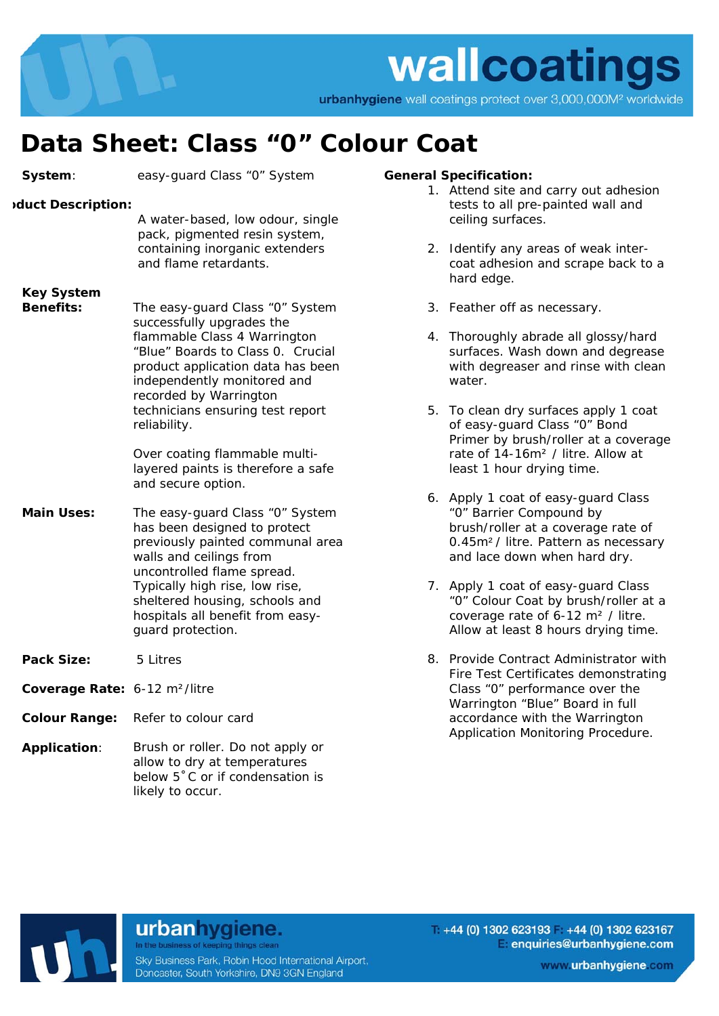

## **Data Sheet: Class "0" Colour Coat**

| System:                                   | easy-guard Class "0" System                                                                                                                                                                                                                                                               |
|-------------------------------------------|-------------------------------------------------------------------------------------------------------------------------------------------------------------------------------------------------------------------------------------------------------------------------------------------|
| duct Description:                         | A water-based, low odour, single<br>pack, pigmented resin system,<br>containing inorganic extenders<br>and flame retardants.                                                                                                                                                              |
| <b>Key System</b><br><b>Benefits:</b>     | The easy-guard Class "0" System<br>successfully upgrades the<br>flammable Class 4 Warrington<br>"Blue" Boards to Class 0. Crucial<br>product application data has been<br>independently monitored and<br>recorded by Warrington<br>technicians ensuring test report<br>reliability.       |
|                                           | Over coating flammable multi-<br>layered paints is therefore a safe<br>and secure option.                                                                                                                                                                                                 |
| <b>Main Uses:</b>                         | The easy-guard Class "0" System<br>has been designed to protect<br>previously painted communal area<br>walls and ceilings from<br>uncontrolled flame spread.<br>Typically high rise, low rise,<br>sheltered housing, schools and<br>hospitals all benefit from easy-<br>guard protection. |
| Pack Size:                                | 5 Litres                                                                                                                                                                                                                                                                                  |
| Coverage Rate: 6-12 m <sup>2</sup> /litre |                                                                                                                                                                                                                                                                                           |
| <b>Colour Range:</b>                      | Refer to colour card                                                                                                                                                                                                                                                                      |
| Application:                              | Brush or roller. Do not apply or<br>allow to dry at temperatures                                                                                                                                                                                                                          |

## **General Specification:**

- 1. Attend site and carry out adhesion tests to all pre-painted wall and ceiling surfaces.
- 2. Identify any areas of weak intercoat adhesion and scrape back to a hard edge.
- 3. Feather off as necessary.
- 4. Thoroughly abrade all glossy/hard surfaces. Wash down and degrease with degreaser and rinse with clean water.
- 5. To clean dry surfaces apply 1 coat of easy-guard Class "0" Bond Primer by brush/roller at a coverage rate of 14-16m² / litre. Allow at least 1 hour drying time.
- 6. Apply 1 coat of easy-guard Class "0" Barrier Compound by brush/roller at a coverage rate of 0.45m² / litre. Pattern as necessary and lace down when hard dry.
- 7. Apply 1 coat of easy-guard Class "0" Colour Coat by brush/roller at a coverage rate of 6-12 m² / litre. Allow at least 8 hours drying time.
- 8. Provide Contract Administrator with Fire Test Certificates demonstrating Class "0" performance over the Warrington "Blue" Board in full accordance with the Warrington Application Monitoring Procedure.



## urbanhygiene. In the business of keeping things clean

below 5˚C or if condensation is

likely to occur.

Sky Business Park, Robin Hood International Airport, Doncaster, South Yorkshire, DN9 3GN England

 $+44$  (0) 1302 623193 +44 (0) 1302 623167 enquiries@urbanhygiene.com

www.urbanhygiene.com